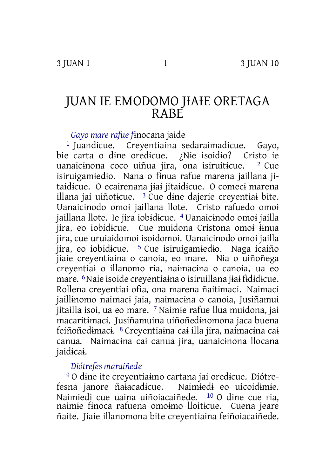# JUAN IE EMODOMO JIAIE ORETAGA RABE

*Gayo mare rafue f*ɨnocana jaide

1 Juandɨcue. Creyentiaɨna sedaraɨmadɨcue. Gayo, bie carta o dɨne oredɨcue. ¿Nɨe isoidɨo? Cristo ie uanaicinona coco uiñua jira, ona isiruiticue.  $2$  Cue isiruigamɨedɨo. Nana o fɨnua rafue marena jaillana jitaidɨcue. O ecairenana jɨaɨ jitaidɨcue. O comecɨ marena illana jai uiñoticue.  $3$  Cue dine dajerie creventiai bite. Uanaicɨnodo omoɨ jaillana llote. Cristo rafuedo omoɨ jaillana llote. Ie jira iobɨdɨcue. 4 Uanaicɨnodo omoɨ jailla jira, eo iobidɨcue. Cue muidona Cristona omoɨ ɨɨnua jira, cue uruiaɨdomoɨ isoidomoɨ. Uanaicɨnodo omoɨ jailla jira, eo iobidɨcue. 5 Cue isiruigamɨedɨo. Naga icaiño jɨaɨe creyentiaɨna o canoia, eo mare. Nia o uiñoñega creyentiaɨ o illanomo ria, naimacɨna o canoia, ua eo mare. 6Naie isoide creyentiaɨna o isiruillana jɨaɨ fɨdɨdɨcue. Rollena creyentiaɨ ofia, ona marena ñaɨtɨmacɨ. Naimacɨ jaillinomo naimaci jaia, naimacina o canoia, Jusiñamui jitailla isoi, ua eo mare. 7 Naimie rafue llua muidona, jai macaritɨmacɨ. Jusiñamuina uiñoñedɨnomona jaca buena feiñoñedɨmacɨ. 8 Creyentiaɨna caɨ illa jira, naimacɨna caɨ canua. Naimacɨna caɨ canua jira, uanaicɨnona llocana jaidɨcaɨ.

## *Diótrefes maraiñede*

9 O dɨne ite creyentiaɨmo cartana jai oredɨcue. Diótrefesna janore ñaɨacadɨcue. Naimɨedɨ eo uicoidɨmɨe. Naimɨedɨ cue uaina uiñoiacaiñede. 10 O dɨne cue ria, naimie finoca rafuena omoimo lloiticue. Cuena jeare ñaɨte. Jɨaɨe illanomona bite creyentiaɨna feiñoiacaiñede.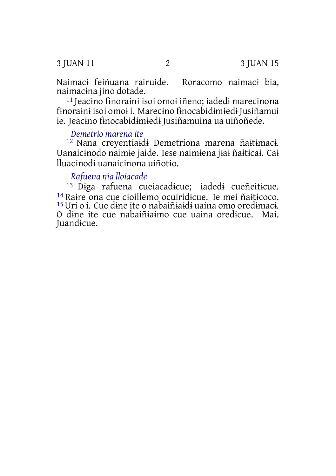3 JUAN 11 2 3 JUAN 15

Naimacɨ feiñuana rairuide. Roracomo naimacɨ bia, naimacɨna jino dotade.

11 Jeacɨno fɨnoraɨnɨ isoi omoɨ iñeno; iadedɨ marecɨnona fɨnoraɨnɨ isoi omoɨ i. Marecɨno fɨnocabidɨmɨedɨ Jusiñamui ie. Jeacɨno fɨnocabidɨmɨedɨ Jusiñamuina ua uiñoñede.

#### *Demetrio marena ite*

12 Nana creyentiaɨdɨ Demetriona marena ñaɨtɨmacɨ. Uanaicɨnodo naimɨe jaide. Iese naimɨena jɨaɨ ñaɨtɨcaɨ. Caɨ lluacɨnodɨ uanaicɨnona uiñotɨo.

## *Rafuena nia lloiacade*

13 Dɨga rafuena cueiacadɨcue; iadedɨ cueñeitɨcue. <sup>14</sup> Raire ona cue cioillemo ocuiridicue. Ie mei ñaiticoco. 15Uri o i. Cue dɨne ite o nabaiñɨaɨdɨ uaina omo oredɨmacɨ. O dɨne ite cue nabaiñɨaɨmo cue uaina oredɨcue. Mai. Juandɨcue.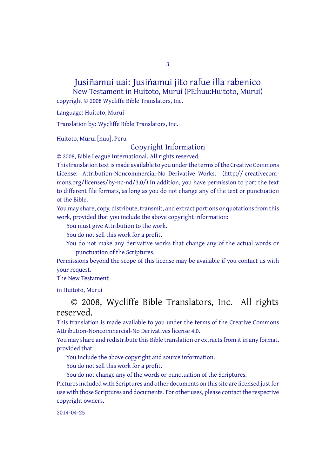#### Jusiñamui uai: Jusiñamui jito rafue illa rabenico New Testament in Huitoto, Murui (PE:huu:Huitoto, Murui)

3

copyright © 2008 Wycliffe Bible Translators, Inc.

Language: Huitoto, Murui

Translation by: Wycliffe Bible Translators, Inc.

Huitoto, Murui [huu], Peru

## Copyright Information

© 2008, Bible League International. All rights reserved.

This translation text is made available to you under the terms of the Creative [Commons](http://creativecommons.org/licenses/by-nc-nd/4.0/) License: [Attribution-Noncommercial-No](http://creativecommons.org/licenses/by-nc-nd/4.0/) Derivative Works. (http:// creativecommons.org/licenses/by-nc-nd/3.0/) In addition, you have permission to port the text to different file formats, as long as you do not change any of the text or punctuation of the Bible.

You may share, copy, distribute, transmit, and extract portions or quotations from this work, provided that you include the above copyright information:

You must give Attribution to the work.

You do not sell this work for a profit.

You do not make any derivative works that change any of the actual words or punctuation of the Scriptures.

Permissions beyond the scope of this license may be available if you contact us with your request.

#### The New Testament

in Huitoto, Murui

### © 2008, Wycliffe Bible Translators, Inc. All rights reserved.

This translation is made available to you under the terms of the Creative Commons Attribution-Noncommercial-No Derivatives license 4.0.

You may share and redistribute this Bible translation or extracts from it in any format, provided that:

You include the above copyright and source information.

You do not sell this work for a profit.

You do not change any of the words or punctuation of the Scriptures. Pictures included with Scriptures and other documents on this site are licensed just for use with those Scriptures and documents. For other uses, please contact the respective copyright owners.

2014-04-25